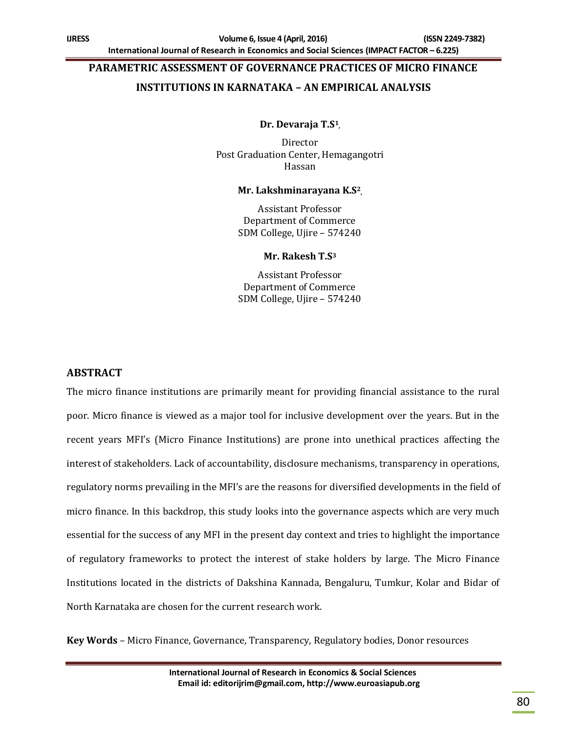# **PARAMETRIC ASSESSMENT OF GOVERNANCE PRACTICES OF MICRO FINANCE**

# **INSTITUTIONS IN KARNATAKA – AN EMPIRICAL ANALYSIS**

## **Dr. Devaraja T.S<sup>1</sup> ,**

Director Post Graduation Center, Hemagangotri Hassan

#### **Mr. Lakshminarayana K.S<sup>2</sup> ,**

Assistant Professor Department of Commerce SDM College, Ujire – 574240

#### **Mr. Rakesh T.S<sup>3</sup>**

Assistant Professor Department of Commerce SDM College, Ujire – 574240

# **ABSTRACT**

The micro finance institutions are primarily meant for providing financial assistance to the rural poor. Micro finance is viewed as a major tool for inclusive development over the years. But in the recent years MFI's (Micro Finance Institutions) are prone into unethical practices affecting the interest of stakeholders. Lack of accountability, disclosure mechanisms, transparency in operations, regulatory norms prevailing in the MFI's are the reasons for diversified developments in the field of micro finance. In this backdrop, this study looks into the governance aspects which are very much essential for the success of any MFI in the present day context and tries to highlight the importance of regulatory frameworks to protect the interest of stake holders by large. The Micro Finance Institutions located in the districts of Dakshina Kannada, Bengaluru, Tumkur, Kolar and Bidar of North Karnataka are chosen for the current research work.

**Key Words** – Micro Finance, Governance, Transparency, Regulatory bodies, Donor resources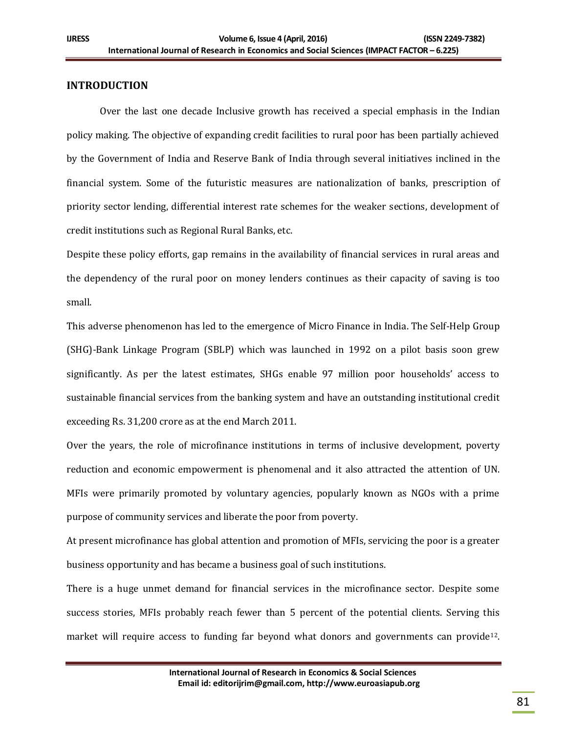## **INTRODUCTION**

Over the last one decade Inclusive growth has received a special emphasis in the Indian policy making. The objective of expanding credit facilities to rural poor has been partially achieved by the Government of India and Reserve Bank of India through several initiatives inclined in the financial system. Some of the futuristic measures are nationalization of banks, prescription of priority sector lending, differential interest rate schemes for the weaker sections, development of credit institutions such as Regional Rural Banks, etc.

Despite these policy efforts, gap remains in the availability of financial services in rural areas and the dependency of the rural poor on money lenders continues as their capacity of saving is too small.

This adverse phenomenon has led to the emergence of Micro Finance in India. The Self-Help Group (SHG)-Bank Linkage Program (SBLP) which was launched in 1992 on a pilot basis soon grew significantly. As per the latest estimates, SHGs enable 97 million poor households' access to sustainable financial services from the banking system and have an outstanding institutional credit exceeding Rs. 31,200 crore as at the end March 2011.

Over the years, the role of microfinance institutions in terms of inclusive development, poverty reduction and economic empowerment is phenomenal and it also attracted the attention of UN. MFIs were primarily promoted by voluntary agencies, popularly known as NGOs with a prime purpose of community services and liberate the poor from poverty.

At present microfinance has global attention and promotion of MFIs, servicing the poor is a greater business opportunity and has became a business goal of such institutions.

There is a huge unmet demand for financial services in the microfinance sector. Despite some success stories, MFIs probably reach fewer than 5 percent of the potential clients. Serving this market will require access to funding far beyond what donors and governments can provide<sup>12</sup>.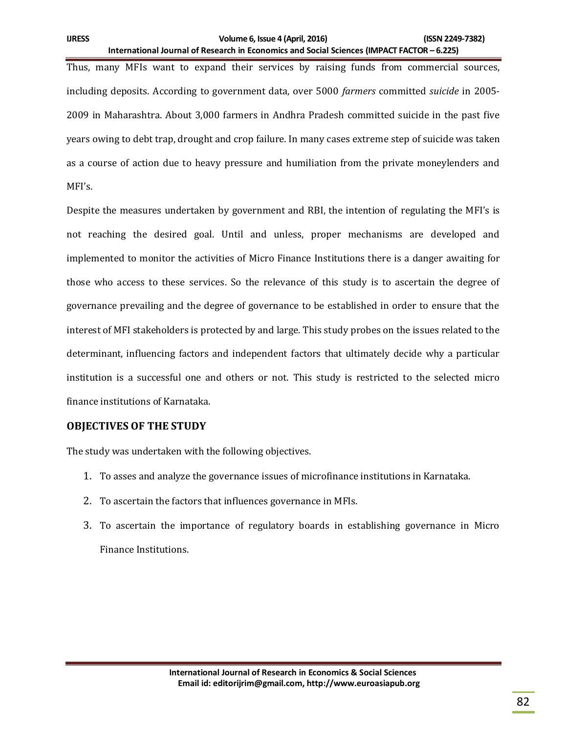Thus, many MFIs want to expand their services by raising funds from commercial sources, including deposits. According to government data, over 5000 *farmers* committed *suicide* in 2005- 2009 in Maharashtra. About 3,000 farmers in Andhra Pradesh committed suicide in the past five years owing to debt trap, drought and crop failure. In many cases extreme step of suicide was taken as a course of action due to heavy pressure and humiliation from the private moneylenders and MFI's.

Despite the measures undertaken by government and RBI, the intention of regulating the MFI's is not reaching the desired goal. Until and unless, proper mechanisms are developed and implemented to monitor the activities of Micro Finance Institutions there is a danger awaiting for those who access to these services. So the relevance of this study is to ascertain the degree of governance prevailing and the degree of governance to be established in order to ensure that the interest of MFI stakeholders is protected by and large. This study probes on the issues related to the determinant, influencing factors and independent factors that ultimately decide why a particular institution is a successful one and others or not. This study is restricted to the selected micro finance institutions of Karnataka.

# **OBJECTIVES OF THE STUDY**

The study was undertaken with the following objectives.

- 1. To asses and analyze the governance issues of microfinance institutions in Karnataka.
- 2. To ascertain the factors that influences governance in MFIs.
- 3. To ascertain the importance of regulatory boards in establishing governance in Micro Finance Institutions.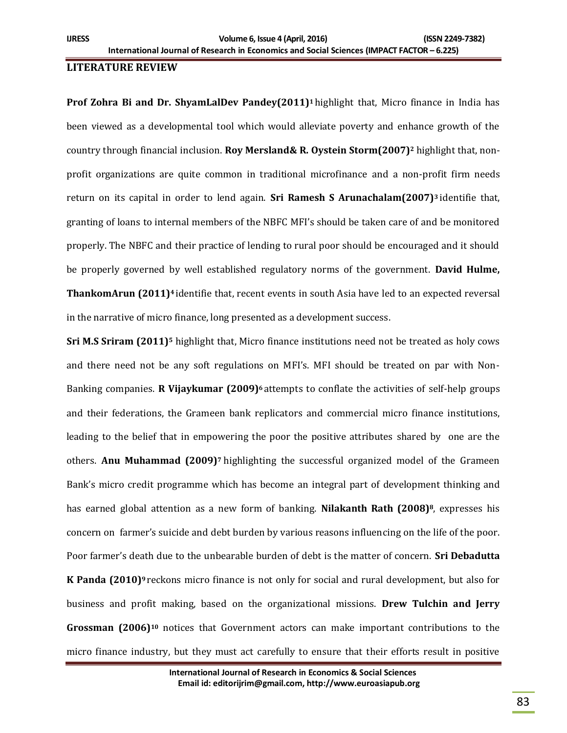## **LITERATURE REVIEW**

**Prof Zohra Bi and Dr. ShyamLalDev Pandey(2011)<sup>1</sup>** highlight that, Micro finance in India has been viewed as a developmental tool which would alleviate poverty and enhance growth of the country through financial inclusion. **Roy Mersland& R. Oystein Storm(2007)<sup>2</sup>** highlight that, nonprofit organizations are quite common in traditional microfinance and a non-profit firm needs return on its capital in order to lend again. **Sri Ramesh S Arunachalam(2007)<sup>3</sup>** identifie that, granting of loans to internal members of the NBFC MFI's should be taken care of and be monitored properly. The NBFC and their practice of lending to rural poor should be encouraged and it should be properly governed by well established regulatory norms of the government. **David Hulme, ThankomArun (2011)<sup>4</sup>** identifie that, recent events in south Asia have led to an expected reversal in the narrative of micro finance, long presented as a development success.

**Sri M.S Sriram (2011)<sup>5</sup>** highlight that, Micro finance institutions need not be treated as holy cows and there need not be any soft regulations on MFI's. MFI should be treated on par with Non-Banking companies. **R Vijaykumar (2009)<sup>6</sup>** attempts to conflate the activities of self-help groups and their federations, the Grameen bank replicators and commercial micro finance institutions, leading to the belief that in empowering the poor the positive attributes shared by one are the others. **Anu Muhammad (2009)<sup>7</sup>** highlighting the successful organized model of the Grameen Bank's micro credit programme which has become an integral part of development thinking and has earned global attention as a new form of banking. **Nilakanth Rath (2008)8**, expresses his concern on farmer's suicide and debt burden by various reasons influencing on the life of the poor. Poor farmer's death due to the unbearable burden of debt is the matter of concern. **Sri Debadutta K Panda (2010)<sup>9</sup>** reckons micro finance is not only for social and rural development, but also for business and profit making, based on the organizational missions. **Drew Tulchin and Jerry Grossman (2006)<sup>10</sup>** notices that Government actors can make important contributions to the micro finance industry, but they must act carefully to ensure that their efforts result in positive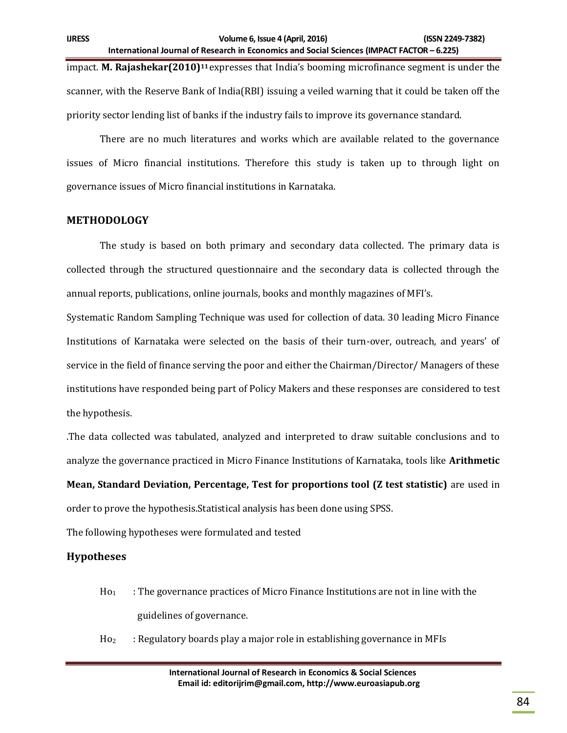impact. **M. Rajashekar(2010)<sup>11</sup>** expresses that India's booming microfinance segment is under the scanner, with the Reserve Bank of India(RBI) issuing a veiled warning that it could be taken off the priority sector lending list of banks if the industry fails to improve its governance standard.

There are no much literatures and works which are available related to the governance issues of Micro financial institutions. Therefore this study is taken up to through light on governance issues of Micro financial institutions in Karnataka.

#### **METHODOLOGY**

The study is based on both primary and secondary data collected. The primary data is collected through the structured questionnaire and the secondary data is collected through the annual reports, publications, online journals, books and monthly magazines of MFI's.

Systematic Random Sampling Technique was used for collection of data. 30 leading Micro Finance Institutions of Karnataka were selected on the basis of their turn-over, outreach, and years' of service in the field of finance serving the poor and either the Chairman/Director/ Managers of these institutions have responded being part of Policy Makers and these responses are considered to test the hypothesis.

.The data collected was tabulated, analyzed and interpreted to draw suitable conclusions and to analyze the governance practiced in Micro Finance Institutions of Karnataka, tools like **Arithmetic** 

**Mean, Standard Deviation, Percentage, Test for proportions tool (Z test statistic)** are used in order to prove the hypothesis.Statistical analysis has been done using SPSS.

The following hypotheses were formulated and tested

# **Hypotheses**

- $H_0$  : The governance practices of Micro Finance Institutions are not in line with the guidelines of governance.
- $Ho<sub>2</sub>$  : Regulatory boards play a major role in establishing governance in MFIs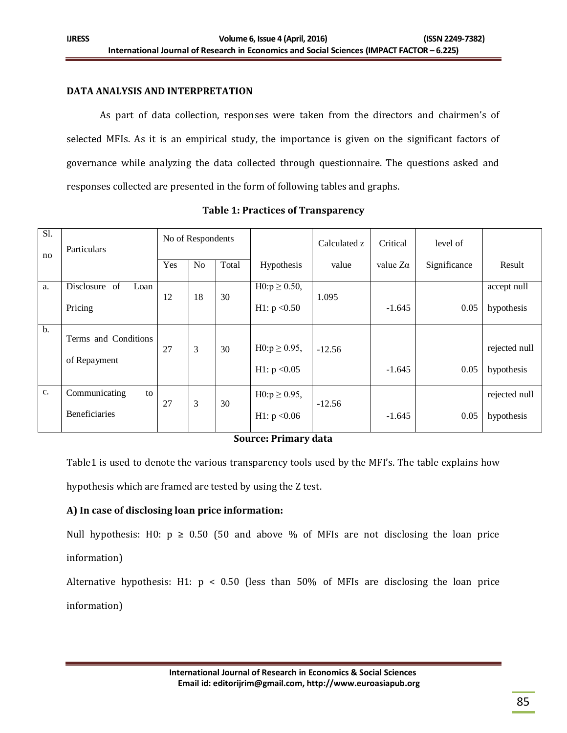## **DATA ANALYSIS AND INTERPRETATION**

As part of data collection, responses were taken from the directors and chairmen's of selected MFIs. As it is an empirical study, the importance is given on the significant factors of governance while analyzing the data collected through questionnaire. The questions asked and responses collected are presented in the form of following tables and graphs.

| Sl.<br>no      | Particulars                          | No of Respondents |                |       |                                     | Calculated z | Critical        | level of     |                             |
|----------------|--------------------------------------|-------------------|----------------|-------|-------------------------------------|--------------|-----------------|--------------|-----------------------------|
|                |                                      | Yes               | N <sub>o</sub> | Total | Hypothesis                          | value        | value $Z\alpha$ | Significance | Result                      |
| a.             | Disclosure of<br>Loan                | 12                | 18             | 30    | $H0:p \ge 0.50$ ,                   | 1.095        |                 |              | accept null                 |
|                | Pricing                              |                   |                |       | H1: $p < 0.50$                      |              | $-1.645$        | 0.05         | hypothesis                  |
| b.             | Terms and Conditions<br>of Repayment | 27                | 3              | 30    | $H0:p \ge 0.95$ ,<br>H1: $p < 0.05$ | $-12.56$     | $-1.645$        | 0.05         | rejected null<br>hypothesis |
| C <sub>1</sub> | Communicating<br>to<br>Beneficiaries | 27                | 3              | 30    | $H0:p \ge 0.95$ ,<br>H1: $p < 0.06$ | $-12.56$     | $-1.645$        | 0.05         | rejected null<br>hypothesis |

#### **Table 1: Practices of Transparency**

#### **Source: Primary data**

Table1 is used to denote the various transparency tools used by the MFI's. The table explains how

hypothesis which are framed are tested by using the Z test.

# **A) In case of disclosing loan price information:**

Null hypothesis: H0:  $p \ge 0.50$  (50 and above % of MFIs are not disclosing the loan price information)

Alternative hypothesis: H1:  $p < 0.50$  (less than 50% of MFIs are disclosing the loan price information)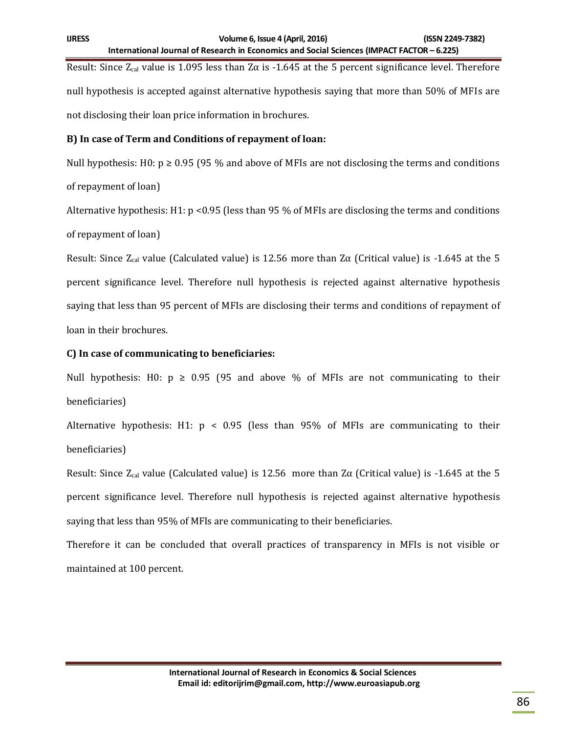Result: Since  $Z_{cal}$  value is 1.095 less than  $Z\alpha$  is -1.645 at the 5 percent significance level. Therefore null hypothesis is accepted against alternative hypothesis saying that more than 50% of MFIs are not disclosing their loan price information in brochures.

## **B) In case of Term and Conditions of repayment of loan:**

Null hypothesis: H0:  $p \ge 0.95$  (95 % and above of MFIs are not disclosing the terms and conditions of repayment of loan)

Alternative hypothesis: H1:  $p \le 0.95$  (less than 95 % of MFIs are disclosing the terms and conditions of repayment of loan)

Result: Since  $Z_{cal}$  value (Calculated value) is 12.56 more than  $Z\alpha$  (Critical value) is -1.645 at the 5 percent significance level. Therefore null hypothesis is rejected against alternative hypothesis saying that less than 95 percent of MFIs are disclosing their terms and conditions of repayment of loan in their brochures.

# **C) In case of communicating to beneficiaries:**

Null hypothesis: H0:  $p \ge 0.95$  (95 and above % of MFIs are not communicating to their beneficiaries)

Alternative hypothesis: H1:  $p \le 0.95$  (less than 95% of MFIs are communicating to their beneficiaries)

Result: Since  $Z_{cal}$  value (Calculated value) is 12.56 more than  $Z\alpha$  (Critical value) is -1.645 at the 5 percent significance level. Therefore null hypothesis is rejected against alternative hypothesis saying that less than 95% of MFIs are communicating to their beneficiaries.

Therefore it can be concluded that overall practices of transparency in MFIs is not visible or maintained at 100 percent.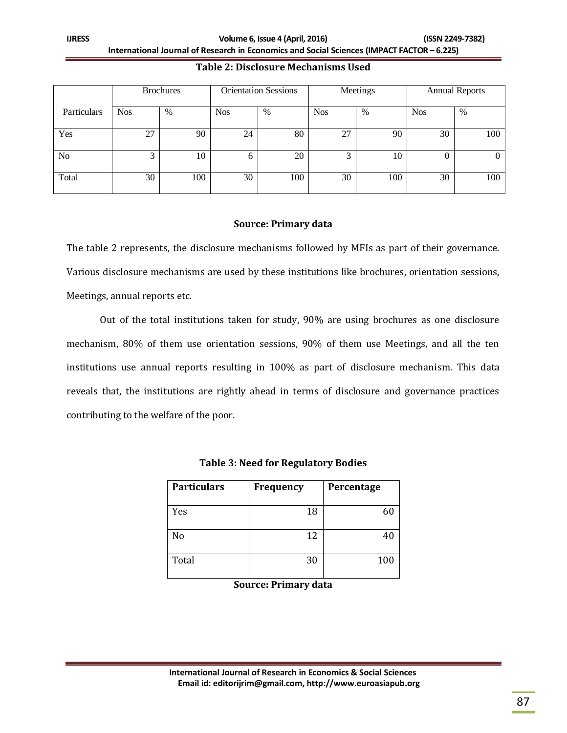**IJRESS Volume 6, Issue 4 (April, 2016) (ISSN 2249-7382) International Journal of Research in Economics and Social Sciences (IMPACT FACTOR – 6.225)**

|                | <b>Brochures</b> |     |            | <b>Orientation Sessions</b> |            | Meetings | <b>Annual Reports</b> |     |
|----------------|------------------|-----|------------|-----------------------------|------------|----------|-----------------------|-----|
| Particulars    | <b>Nos</b>       | %   | <b>Nos</b> | %                           | <b>Nos</b> | %        | <b>Nos</b>            | %   |
| Yes            | 27               | 90  | 24         | 80                          | 27         | 90       | 30                    | 100 |
| N <sub>o</sub> | 3                | 10  | 0          | 20                          | 3          | 10       | O                     | 0   |
| Total          | 30               | 100 | 30         | 100                         | 30         | 100      | 30                    | 100 |

### **Table 2: Disclosure Mechanisms Used**

## **Source: Primary data**

The table 2 represents, the disclosure mechanisms followed by MFIs as part of their governance. Various disclosure mechanisms are used by these institutions like brochures, orientation sessions, Meetings, annual reports etc.

Out of the total institutions taken for study, 90% are using brochures as one disclosure mechanism, 80% of them use orientation sessions, 90% of them use Meetings, and all the ten institutions use annual reports resulting in 100% as part of disclosure mechanism. This data reveals that, the institutions are rightly ahead in terms of disclosure and governance practices contributing to the welfare of the poor.

| <b>Particulars</b> | Frequency | Percentage |
|--------------------|-----------|------------|
| Yes                | 18        | 60         |
| No                 | 12        | 40         |
| Total              | 30        | 100        |

# **Table 3: Need for Regulatory Bodies**

**Source: Primary data**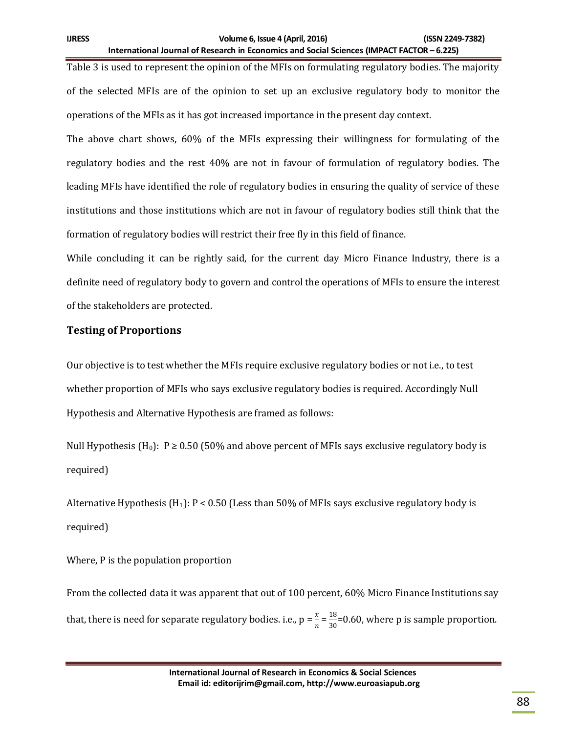Table 3 is used to represent the opinion of the MFIs on formulating regulatory bodies. The majority of the selected MFIs are of the opinion to set up an exclusive regulatory body to monitor the operations of the MFIs as it has got increased importance in the present day context.

The above chart shows, 60% of the MFIs expressing their willingness for formulating of the regulatory bodies and the rest 40% are not in favour of formulation of regulatory bodies. The leading MFIs have identified the role of regulatory bodies in ensuring the quality of service of these institutions and those institutions which are not in favour of regulatory bodies still think that the formation of regulatory bodies will restrict their free fly in this field of finance.

While concluding it can be rightly said, for the current day Micro Finance Industry, there is a definite need of regulatory body to govern and control the operations of MFIs to ensure the interest of the stakeholders are protected.

# **Testing of Proportions**

Our objective is to test whether the MFIs require exclusive regulatory bodies or not i.e., to test whether proportion of MFIs who says exclusive regulatory bodies is required. Accordingly Null Hypothesis and Alternative Hypothesis are framed as follows:

Null Hypothesis (H<sub>0</sub>): P  $\geq$  0.50 (50% and above percent of MFIs says exclusive regulatory body is required)

Alternative Hypothesis (H<sub>1</sub>):  $P < 0.50$  (Less than 50% of MFIs says exclusive regulatory body is required)

Where, P is the population proportion

From the collected data it was apparent that out of 100 percent, 60% Micro Finance Institutions say that, there is need for separate regulatory bodies. i.e.,  $p = \frac{x}{n} = \frac{18}{30}$  $\frac{10}{30}$ =0.60, where p is sample proportion.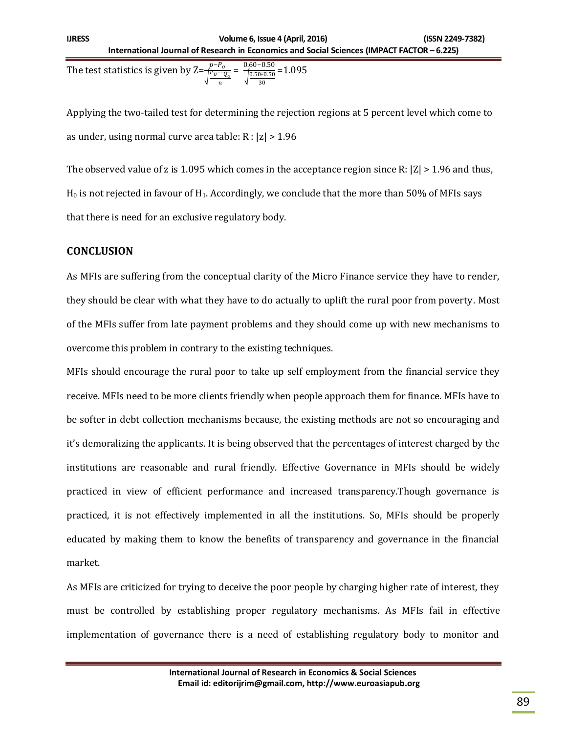The test statistics is given by  $Z=$  $\overline{1}$  ${}^{\scriptscriptstyle P_{\scriptscriptstyle O}}\!\!\!$  0  $_{\scriptscriptstyle O}$ n = 0.60−0.50  $\frac{0.50 - 0.50}{\sqrt{0.50 * 0.50}} = 1.095$ 30

Applying the two-tailed test for determining the rejection regions at 5 percent level which come to as under, using normal curve area table:  $R : |z| > 1.96$ 

The observed value of z is 1.095 which comes in the acceptance region since R:  $|Z| > 1.96$  and thus,  $H_0$  is not rejected in favour of  $H_1$ . Accordingly, we conclude that the more than 50% of MFIs says that there is need for an exclusive regulatory body.

# **CONCLUSION**

As MFIs are suffering from the conceptual clarity of the Micro Finance service they have to render, they should be clear with what they have to do actually to uplift the rural poor from poverty. Most of the MFIs suffer from late payment problems and they should come up with new mechanisms to overcome this problem in contrary to the existing techniques.

MFIs should encourage the rural poor to take up self employment from the financial service they receive. MFIs need to be more clients friendly when people approach them for finance. MFIs have to be softer in debt collection mechanisms because, the existing methods are not so encouraging and it's demoralizing the applicants. It is being observed that the percentages of interest charged by the institutions are reasonable and rural friendly. Effective Governance in MFIs should be widely practiced in view of efficient performance and increased transparency.Though governance is practiced, it is not effectively implemented in all the institutions. So, MFIs should be properly educated by making them to know the benefits of transparency and governance in the financial market.

As MFIs are criticized for trying to deceive the poor people by charging higher rate of interest, they must be controlled by establishing proper regulatory mechanisms. As MFIs fail in effective implementation of governance there is a need of establishing regulatory body to monitor and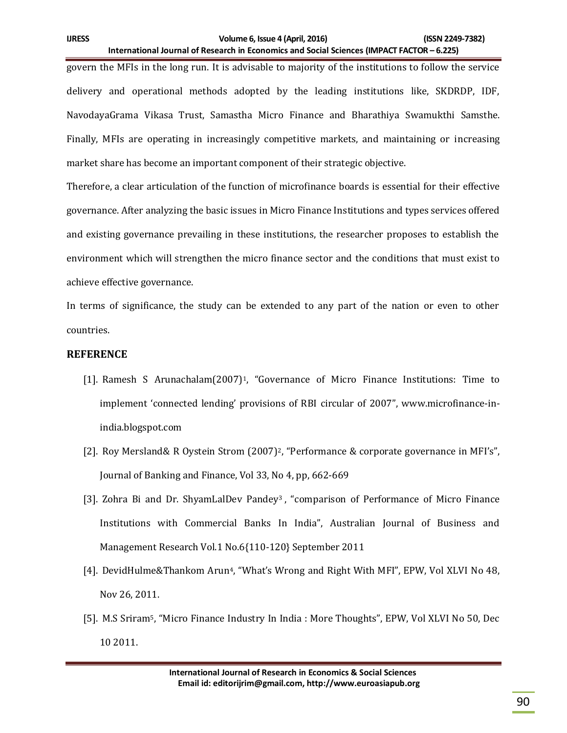govern the MFIs in the long run. It is advisable to majority of the institutions to follow the service delivery and operational methods adopted by the leading institutions like, SKDRDP, IDF, NavodayaGrama Vikasa Trust, Samastha Micro Finance and Bharathiya Swamukthi Samsthe. Finally, MFIs are operating in increasingly competitive markets, and maintaining or increasing market share has become an important component of their strategic objective.

Therefore, a clear articulation of the function of microfinance boards is essential for their effective governance. After analyzing the basic issues in Micro Finance Institutions and types services offered and existing governance prevailing in these institutions, the researcher proposes to establish the environment which will strengthen the micro finance sector and the conditions that must exist to achieve effective governance.

In terms of significance, the study can be extended to any part of the nation or even to other countries.

## **REFERENCE**

- [1]. Ramesh S Arunachalam(2007)<sup>1</sup>, "Governance of Micro Finance Institutions: Time to implement 'connected lending' provisions of RBI circular of 2007", www.microfinance-inindia.blogspot.com
- [2]. Roy Mersland& R Oystein Strom (2007)2, "Performance & corporate governance in MFI's", Journal of Banking and Finance, Vol 33, No 4, pp, 662-669
- [3]. Zohra Bi and Dr. ShyamLalDev Pandey<sup>3</sup>, "comparison of Performance of Micro Finance Institutions with Commercial Banks In India", Australian Journal of Business and Management Research Vol.1 No.6{110-120} September 2011
- [4]. DevidHulme&Thankom Arun<sup>4</sup>, "What's Wrong and Right With MFI", EPW, Vol XLVI No 48, Nov 26, 2011.
- [5]. M.S Sriram5, "Micro Finance Industry In India : More Thoughts", EPW, Vol XLVI No 50, Dec 10 2011.